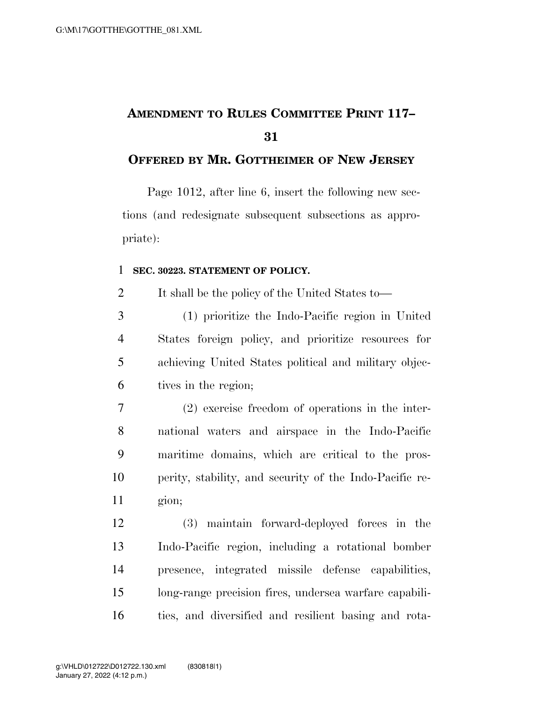## **AMENDMENT TO RULES COMMITTEE PRINT 117–**

## **OFFERED BY MR. GOTTHEIMER OF NEW JERSEY**

Page 1012, after line 6, insert the following new sections (and redesignate subsequent subsections as appropriate):

## **SEC. 30223. STATEMENT OF POLICY.**

It shall be the policy of the United States to—

 (1) prioritize the Indo-Pacific region in United States foreign policy, and prioritize resources for achieving United States political and military objec-tives in the region;

 (2) exercise freedom of operations in the inter- national waters and airspace in the Indo-Pacific maritime domains, which are critical to the pros- perity, stability, and security of the Indo-Pacific re-gion;

 (3) maintain forward-deployed forces in the Indo-Pacific region, including a rotational bomber presence, integrated missile defense capabilities, long-range precision fires, undersea warfare capabili-ties, and diversified and resilient basing and rota-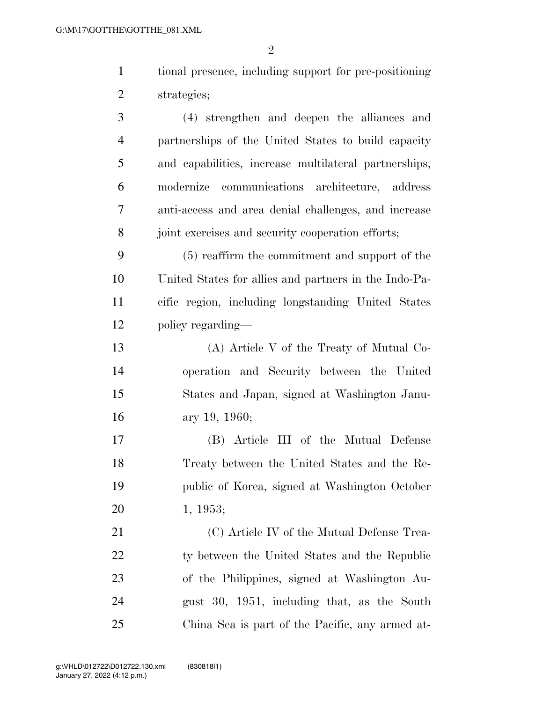tional presence, including support for pre-positioning strategies;

 (4) strengthen and deepen the alliances and partnerships of the United States to build capacity and capabilities, increase multilateral partnerships, modernize communications architecture, address anti-access and area denial challenges, and increase 8 joint exercises and security cooperation efforts;

 (5) reaffirm the commitment and support of the United States for allies and partners in the Indo-Pa- cific region, including longstanding United States policy regarding—

 (A) Article V of the Treaty of Mutual Co- operation and Security between the United States and Japan, signed at Washington Janu-ary 19, 1960;

 (B) Article III of the Mutual Defense Treaty between the United States and the Re- public of Korea, signed at Washington October 1, 1953;

21 (C) Article IV of the Mutual Defense Trea-22 ty between the United States and the Republic of the Philippines, signed at Washington Au- gust 30, 1951, including that, as the South China Sea is part of the Pacific, any armed at-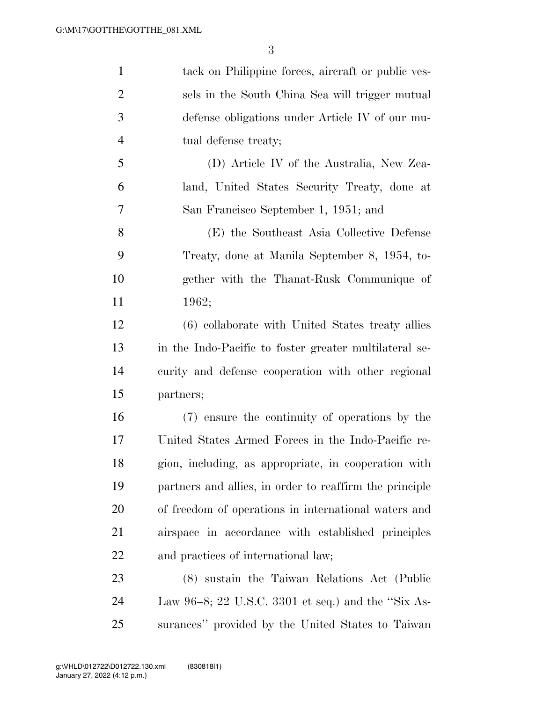| $\mathbf{1}$   | tack on Philippine forces, aircraft or public ves-      |
|----------------|---------------------------------------------------------|
| $\overline{2}$ | sels in the South China Sea will trigger mutual         |
| 3              | defense obligations under Article IV of our mu-         |
| $\overline{4}$ | tual defense treaty;                                    |
| 5              | (D) Article IV of the Australia, New Zea-               |
| 6              | land, United States Security Treaty, done at            |
| 7              | San Francisco September 1, 1951; and                    |
| 8              | (E) the Southeast Asia Collective Defense               |
| 9              | Treaty, done at Manila September 8, 1954, to-           |
| 10             | gether with the Thanat-Rusk Communique of               |
| 11             | 1962;                                                   |
| 12             | (6) collaborate with United States treaty allies        |
| 13             | in the Indo-Pacific to foster greater multilateral se-  |
| 14             | curity and defense cooperation with other regional      |
| 15             | partners;                                               |
| 16             | (7) ensure the continuity of operations by the          |
| 17             | United States Armed Forces in the Indo-Pacific re-      |
| 18             | gion, including, as appropriate, in cooperation with    |
| 19             | partners and allies, in order to reaffirm the principle |
| 20             | of freedom of operations in international waters and    |
| 21             | airspace in accordance with established principles      |
| <u>22</u>      | and practices of international law;                     |
| 23             | (8) sustain the Taiwan Relations Act (Public            |
| 24             | Law 96–8; 22 U.S.C. 3301 et seq.) and the "Six As-      |
| 25             | surances" provided by the United States to Taiwan       |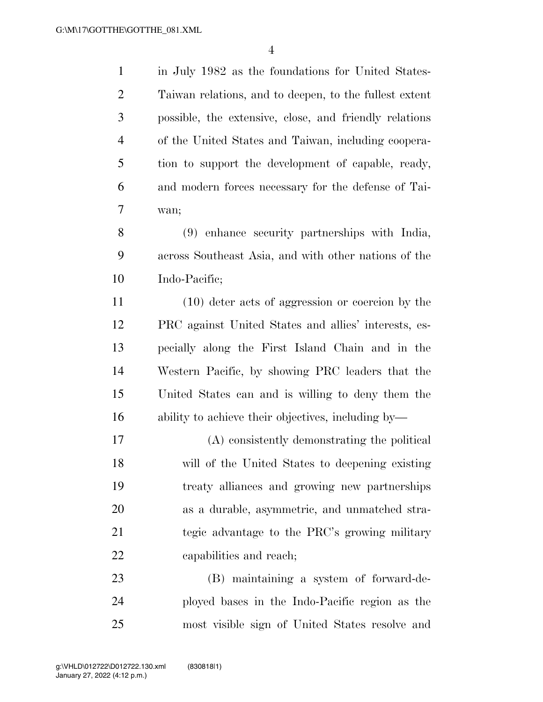in July 1982 as the foundations for United States- Taiwan relations, and to deepen, to the fullest extent possible, the extensive, close, and friendly relations of the United States and Taiwan, including coopera- tion to support the development of capable, ready, and modern forces necessary for the defense of Tai-wan;

 (9) enhance security partnerships with India, across Southeast Asia, and with other nations of the Indo-Pacific;

 (10) deter acts of aggression or coercion by the PRC against United States and allies' interests, es- pecially along the First Island Chain and in the Western Pacific, by showing PRC leaders that the United States can and is willing to deny them the ability to achieve their objectives, including by—

 (A) consistently demonstrating the political will of the United States to deepening existing treaty alliances and growing new partnerships as a durable, asymmetric, and unmatched stra- tegic advantage to the PRC's growing military capabilities and reach;

 (B) maintaining a system of forward-de- ployed bases in the Indo-Pacific region as the most visible sign of United States resolve and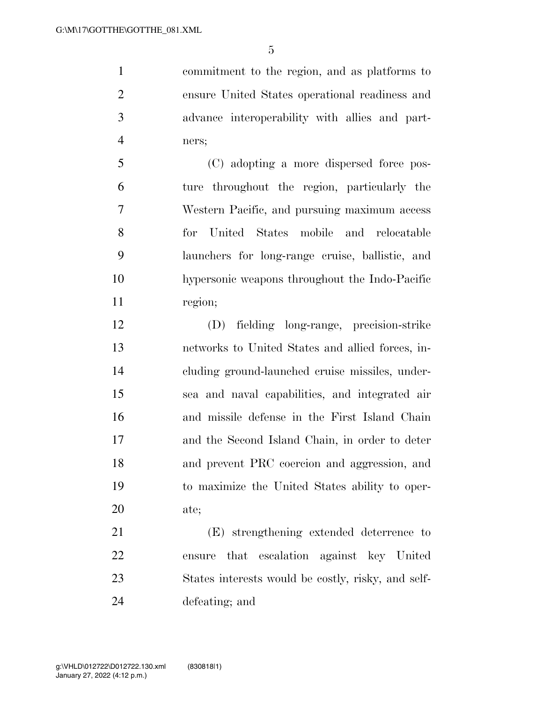commitment to the region, and as platforms to ensure United States operational readiness and advance interoperability with allies and part-ners;

 (C) adopting a more dispersed force pos- ture throughout the region, particularly the Western Pacific, and pursuing maximum access for United States mobile and relocatable launchers for long-range cruise, ballistic, and hypersonic weapons throughout the Indo-Pacific 11 region;

 (D) fielding long-range, precision-strike networks to United States and allied forces, in- cluding ground-launched cruise missiles, under- sea and naval capabilities, and integrated air and missile defense in the First Island Chain and the Second Island Chain, in order to deter and prevent PRC coercion and aggression, and to maximize the United States ability to oper-ate;

 (E) strengthening extended deterrence to ensure that escalation against key United States interests would be costly, risky, and self-defeating; and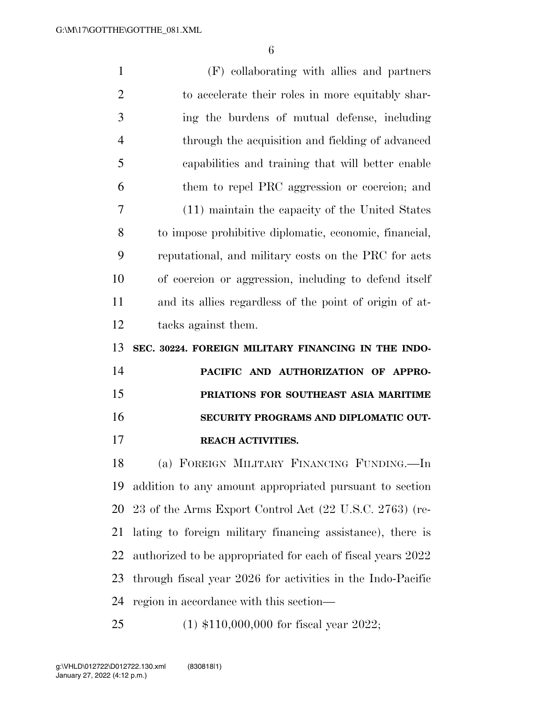| $\mathbf{1}$   | (F) collaborating with allies and partners                  |
|----------------|-------------------------------------------------------------|
| $\overline{2}$ | to accelerate their roles in more equitably shar-           |
| 3              | ing the burdens of mutual defense, including                |
| $\overline{4}$ | through the acquisition and fielding of advanced            |
| 5              | capabilities and training that will better enable           |
| 6              | them to repel PRC aggression or coercion; and               |
| 7              | (11) maintain the capacity of the United States             |
| 8              | to impose prohibitive diplomatic, economic, financial,      |
| 9              | reputational, and military costs on the PRC for acts        |
| 10             | of coercion or aggression, including to defend itself       |
| 11             | and its allies regardless of the point of origin of at-     |
| 12             | tacks against them.                                         |
|                |                                                             |
| 13             | SEC. 30224. FOREIGN MILITARY FINANCING IN THE INDO-         |
| 14             | PACIFIC AND AUTHORIZATION OF APPRO-                         |
| 15             | PRIATIONS FOR SOUTHEAST ASIA MARITIME                       |
| 16             | SECURITY PROGRAMS AND DIPLOMATIC OUT-                       |
| 17             | <b>REACH ACTIVITIES.</b>                                    |
| 18             | (a) FOREIGN MILITARY FINANCING FUNDING.—In                  |
| 19             | addition to any amount appropriated pursuant to section     |
| 20             | 23 of the Arms Export Control Act (22 U.S.C. 2763) (re-     |
| 21             | lating to foreign military financing assistance), there is  |
| 22             | authorized to be appropriated for each of fiscal years 2022 |
| 23             | through fiscal year 2026 for activities in the Indo-Pacific |
| 24             | region in accordance with this section—                     |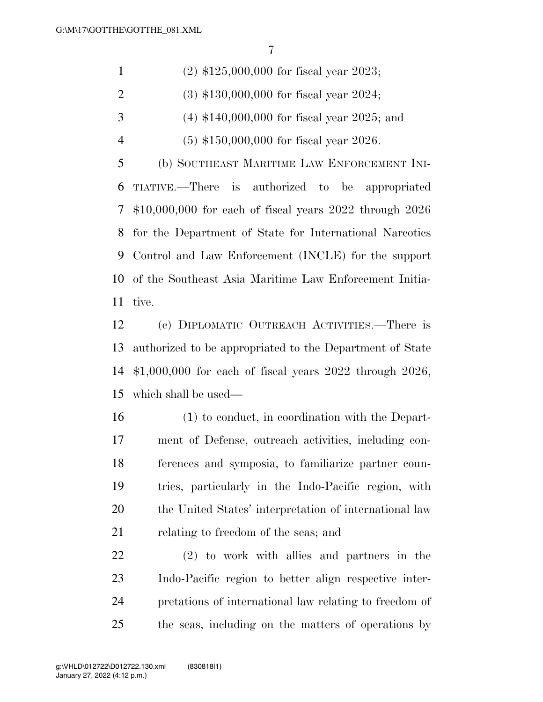| $\mathbf{1}$   | $(2)$ \$125,000,000 for fiscal year 2023;                 |
|----------------|-----------------------------------------------------------|
| 2              | $(3)$ \$130,000,000 for fiscal year 2024;                 |
| 3              | $(4)$ \$140,000,000 for fiscal year 2025; and             |
| $\overline{4}$ | $(5)$ \$150,000,000 for fiscal year 2026.                 |
| 5              | (b) SOUTHEAST MARITIME LAW ENFORCEMENT INI-               |
| 6              | TIATIVE.—There is authorized to be appropriated           |
| 7 <sup>7</sup> | $$10,000,000$ for each of fiscal years 2022 through 2026  |
|                | 8 for the Department of State for International Narcotics |
| 9              | Control and Law Enforcement (INCLE) for the support       |
|                |                                                           |

tive.

 (c) DIPLOMATIC OUTREACH ACTIVITIES.—There is authorized to be appropriated to the Department of State \$1,000,000 for each of fiscal years 2022 through 2026, which shall be used—

of the Southeast Asia Maritime Law Enforcement Initia-

 (1) to conduct, in coordination with the Depart- ment of Defense, outreach activities, including con- ferences and symposia, to familiarize partner coun- tries, particularly in the Indo-Pacific region, with the United States' interpretation of international law relating to freedom of the seas; and

 (2) to work with allies and partners in the Indo-Pacific region to better align respective inter- pretations of international law relating to freedom of the seas, including on the matters of operations by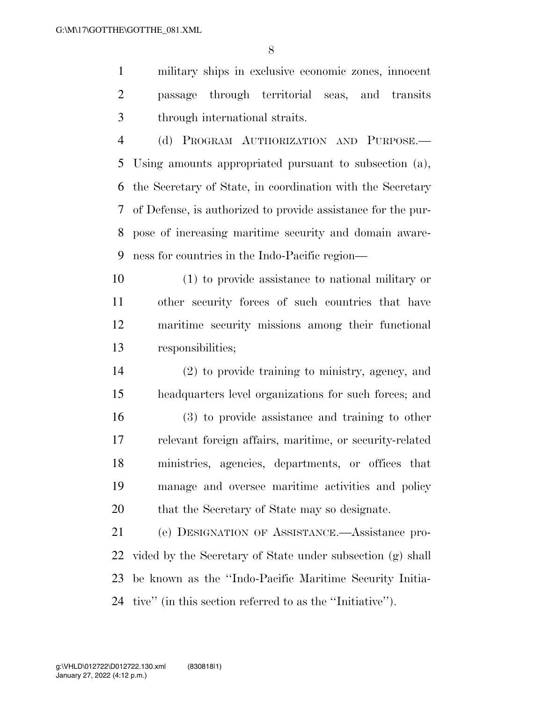military ships in exclusive economic zones, innocent passage through territorial seas, and transits through international straits.

 (d) PROGRAM AUTHORIZATION AND PURPOSE.— Using amounts appropriated pursuant to subsection (a), the Secretary of State, in coordination with the Secretary of Defense, is authorized to provide assistance for the pur- pose of increasing maritime security and domain aware-ness for countries in the Indo-Pacific region—

 (1) to provide assistance to national military or other security forces of such countries that have maritime security missions among their functional responsibilities;

 (2) to provide training to ministry, agency, and headquarters level organizations for such forces; and (3) to provide assistance and training to other relevant foreign affairs, maritime, or security-related ministries, agencies, departments, or offices that manage and oversee maritime activities and policy 20 that the Secretary of State may so designate.

 (e) DESIGNATION OF ASSISTANCE.—Assistance pro- vided by the Secretary of State under subsection (g) shall be known as the ''Indo-Pacific Maritime Security Initia-tive'' (in this section referred to as the ''Initiative'').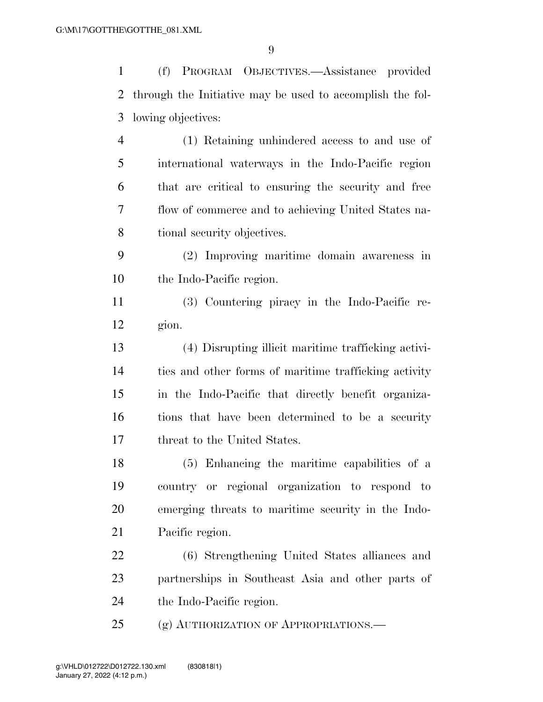(f) PROGRAM OBJECTIVES.—Assistance provided through the Initiative may be used to accomplish the fol- lowing objectives: (1) Retaining unhindered access to and use of international waterways in the Indo-Pacific region that are critical to ensuring the security and free flow of commerce and to achieving United States na- tional security objectives. (2) Improving maritime domain awareness in the Indo-Pacific region. (3) Countering piracy in the Indo-Pacific re- gion. (4) Disrupting illicit maritime trafficking activi- ties and other forms of maritime trafficking activity in the Indo-Pacific that directly benefit organiza- tions that have been determined to be a security threat to the United States. (5) Enhancing the maritime capabilities of a country or regional organization to respond to emerging threats to maritime security in the Indo- Pacific region. (6) Strengthening United States alliances and

 partnerships in Southeast Asia and other parts of the Indo-Pacific region.

(g) AUTHORIZATION OF APPROPRIATIONS.—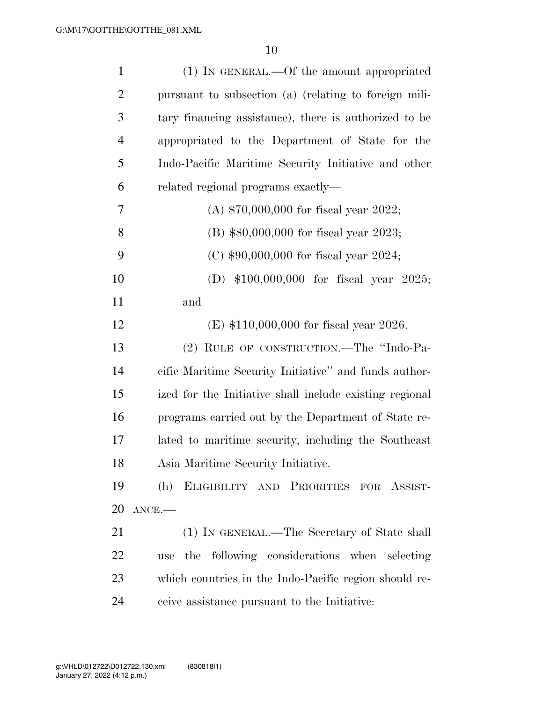| $\mathbf{1}$   | (1) IN GENERAL.—Of the amount appropriated              |
|----------------|---------------------------------------------------------|
| $\overline{2}$ | pursuant to subsection (a) (relating to foreign mili-   |
| 3              | tary financing assistance), there is authorized to be   |
| $\overline{4}$ | appropriated to the Department of State for the         |
| 5              | Indo-Pacific Maritime Security Initiative and other     |
| 6              | related regional programs exactly—                      |
| 7              | (A) $$70,000,000$ for fiscal year 2022;                 |
| 8              | (B) \$80,000,000 for fiscal year 2023;                  |
| 9              | (C) $$90,000,000$ for fiscal year 2024;                 |
| 10             | (D) $$100,000,000$ for fiscal year 2025;                |
| 11             | and                                                     |
| 12             | (E) $$110,000,000$ for fiscal year 2026.                |
| 13             | (2) RULE OF CONSTRUCTION.—The "Indo-Pa-                 |
| 14             | cific Maritime Security Initiative" and funds author-   |
| 15             | ized for the Initiative shall include existing regional |
| 16             | programs carried out by the Department of State re-     |
| 17             | lated to maritime security, including the Southeast     |
| 18             | Asia Maritime Security Initiative.                      |
| 19             | (h)<br>ELIGIBILITY AND PRIORITIES FOR ASSIST-           |
| 20             | $ANCE$ .                                                |
| 21             | (1) IN GENERAL.—The Secretary of State shall            |
| 22             | use the following considerations when selecting         |
| 23             | which countries in the Indo-Pacific region should re-   |
| 24             | ceive assistance pursuant to the Initiative:            |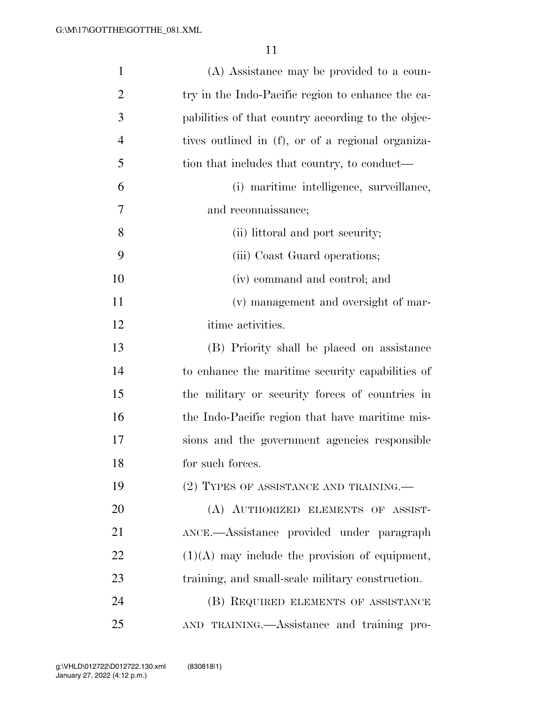| $\mathbf{1}$   | (A) Assistance may be provided to a coun-          |
|----------------|----------------------------------------------------|
| $\overline{2}$ | try in the Indo-Pacific region to enhance the ca-  |
| 3              | pabilities of that country according to the objec- |
| $\overline{4}$ | tives outlined in (f), or of a regional organiza-  |
| 5              | tion that includes that country, to conduct—       |
| 6              | (i) maritime intelligence, surveillance,           |
| $\overline{7}$ | and reconnaissance;                                |
| 8              | (ii) littoral and port security;                   |
| 9              | (iii) Coast Guard operations;                      |
| 10             | (iv) command and control; and                      |
| 11             | (v) management and oversight of mar-               |
| 12             | itime activities.                                  |
| 13             | (B) Priority shall be placed on assistance         |
| 14             | to enhance the maritime security capabilities of   |
| 15             | the military or security forces of countries in    |
| 16             | the Indo-Pacific region that have maritime mis-    |
| 17             | sions and the government agencies responsible      |
| 18             | for such forces.                                   |
| 19             | (2) TYPES OF ASSISTANCE AND TRAINING.—             |
| 20             | (A) AUTHORIZED ELEMENTS OF ASSIST-                 |
| 21             | ANCE.—Assistance provided under paragraph          |
| 22             | $(1)(A)$ may include the provision of equipment,   |
| 23             | training, and small-scale military construction.   |
| 24             | (B) REQUIRED ELEMENTS OF ASSISTANCE                |
| 25             | AND TRAINING.—Assistance and training pro-         |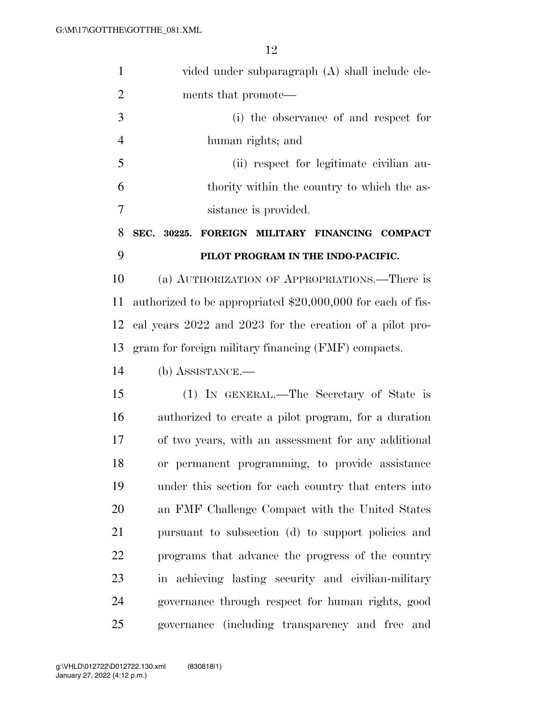| $\mathbf{1}$   | vided under subparagraph (A) shall include ele-             |
|----------------|-------------------------------------------------------------|
| $\overline{2}$ | ments that promote—                                         |
| 3              | (i) the observance of and respect for                       |
| $\overline{4}$ | human rights; and                                           |
| 5              | (ii) respect for legitimate civilian au-                    |
| 6              | thority within the country to which the as-                 |
| $\overline{7}$ | sistance is provided.                                       |
| 8              | SEC. 30225.<br>FOREIGN MILITARY FINANCING COMPACT           |
| 9              | PILOT PROGRAM IN THE INDO-PACIFIC.                          |
| 10             | (a) AUTHORIZATION OF APPROPRIATIONS.—There is               |
| 11             | authorized to be appropriated \$20,000,000 for each of fis- |
| 12             | cal years 2022 and 2023 for the creation of a pilot pro-    |
| 13             | gram for foreign military financing (FMF) compacts.         |
| 14             | $(b)$ ASSISTANCE.—                                          |
| 15             | (1) IN GENERAL.—The Secretary of State is                   |
| 16             | authorized to create a pilot program, for a duration        |
| 17             | of two years, with an assessment for any additional         |
| 18             | or permanent programming, to provide assistance             |
| 19             | under this section for each country that enters into        |
| 20             | an FMF Challenge Compact with the United States             |
| 21             | pursuant to subsection (d) to support policies and          |
| 22             | programs that advance the progress of the country           |
| 23             | in achieving lasting security and civilian-military         |
| 24             | governance through respect for human rights, good           |
| 25             | governance (including transparency and free and             |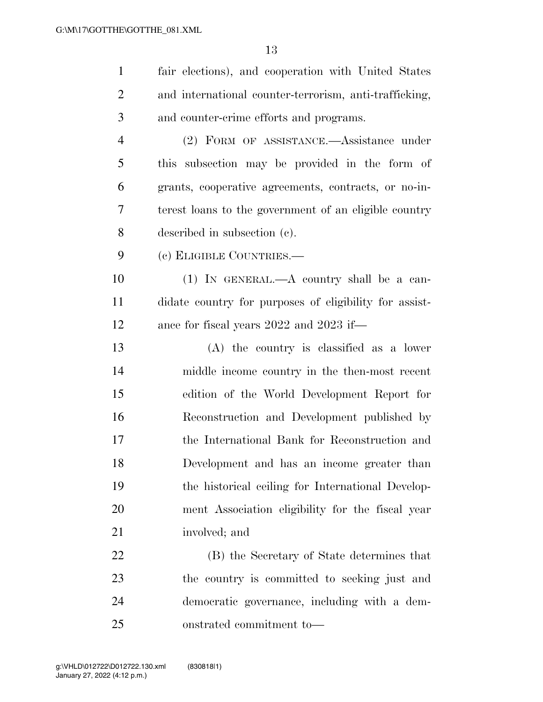| $\mathbf{1}$   | fair elections), and cooperation with United States    |
|----------------|--------------------------------------------------------|
| $\overline{2}$ | and international counter-terrorism, anti-trafficking, |
| 3              | and counter-crime efforts and programs.                |
| $\overline{4}$ | (2) FORM OF ASSISTANCE.—Assistance under               |
| 5              | this subsection may be provided in the form of         |
| 6              | grants, cooperative agreements, contracts, or no-in-   |
| 7              | terest loans to the government of an eligible country  |
| 8              | described in subsection (c).                           |
| 9              | (c) ELIGIBLE COUNTRIES.-                               |
| 10             | $(1)$ IN GENERAL.—A country shall be a can-            |
| 11             | didate country for purposes of eligibility for assist- |
| 12             | ance for fiscal years 2022 and 2023 if—                |
| 13             | $(A)$ the country is classified as a lower             |
| 14             | middle income country in the then-most recent          |
| 15             | edition of the World Development Report for            |
| 16             | Reconstruction and Development published by            |
| 17             | the International Bank for Reconstruction and          |
| 18             | Development and has an income greater than             |
| 19             | the historical ceiling for International Develop-      |
| 20             | ment Association eligibility for the fiscal year       |
| 21             | involved; and                                          |
| 22             | (B) the Secretary of State determines that             |
| 23             | the country is committed to seeking just and           |
| 24             | democratic governance, including with a dem-           |
| 25             | onstrated commitment to-                               |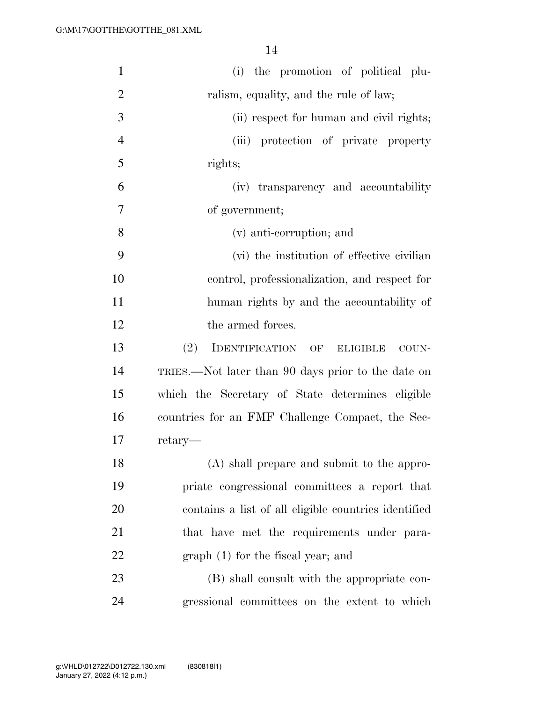| $\mathbf{1}$   | (i) the promotion of political plu-                  |
|----------------|------------------------------------------------------|
| $\overline{2}$ | ralism, equality, and the rule of law;               |
| 3              | (ii) respect for human and civil rights;             |
| $\overline{4}$ | (iii) protection of private property                 |
| 5              | rights;                                              |
| 6              | (iv) transparency and accountability                 |
| 7              | of government;                                       |
| 8              | (v) anti-corruption; and                             |
| 9              | (vi) the institution of effective civilian           |
| 10             | control, professionalization, and respect for        |
| 11             | human rights by and the accountability of            |
| 12             | the armed forces.                                    |
| 13             | (2)<br>IDENTIFICATION OF<br><b>ELIGIBLE</b><br>COUN- |
| 14             | TRIES.—Not later than 90 days prior to the date on   |
| 15             | which the Secretary of State determines eligible     |
| 16             | countries for an FMF Challenge Compact, the Sec-     |
| 17             | retary—                                              |
| 18             | (A) shall prepare and submit to the appro-           |
| 19             | priate congressional committees a report that        |
| 20             | contains a list of all eligible countries identified |
| 21             | that have met the requirements under para-           |
| 22             | $graph(1)$ for the fiscal year; and                  |
| 23             | (B) shall consult with the appropriate con-          |
| 24             | gressional committees on the extent to which         |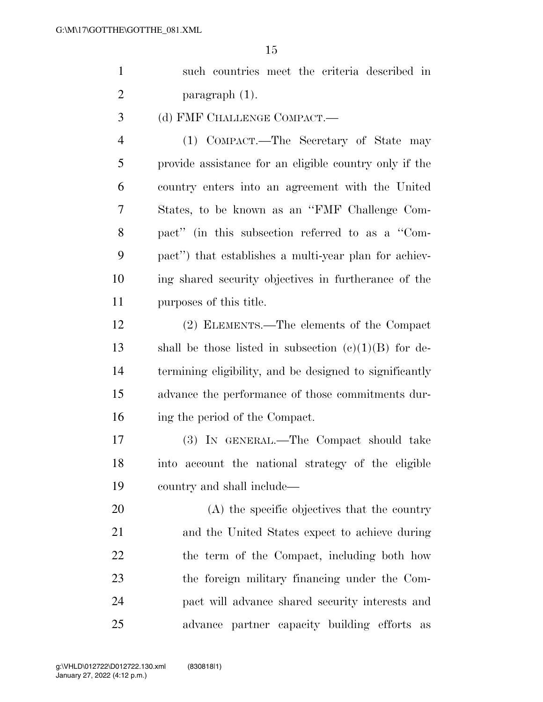|  |                |  | such countries meet the criteria described in |  |
|--|----------------|--|-----------------------------------------------|--|
|  | paragraph (1). |  |                                               |  |

(d) FMF CHALLENGE COMPACT.—

 (1) COMPACT.—The Secretary of State may provide assistance for an eligible country only if the country enters into an agreement with the United States, to be known as an ''FMF Challenge Com- pact'' (in this subsection referred to as a ''Com- pact'') that establishes a multi-year plan for achiev- ing shared security objectives in furtherance of the purposes of this title.

 (2) ELEMENTS.—The elements of the Compact 13 shall be those listed in subsection  $(c)(1)(B)$  for de- termining eligibility, and be designed to significantly advance the performance of those commitments dur-ing the period of the Compact.

 (3) IN GENERAL.—The Compact should take into account the national strategy of the eligible country and shall include—

 (A) the specific objectives that the country and the United States expect to achieve during 22 the term of the Compact, including both how the foreign military financing under the Com- pact will advance shared security interests and advance partner capacity building efforts as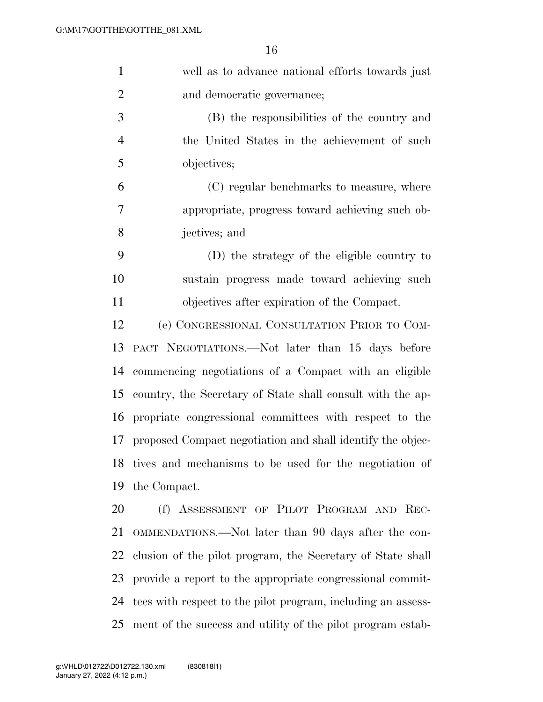| $\mathbf{1}$   | well as to advance national efforts towards just                |
|----------------|-----------------------------------------------------------------|
| $\overline{2}$ | and democratic governance;                                      |
| 3              | (B) the responsibilities of the country and                     |
| $\overline{4}$ | the United States in the achievement of such                    |
| 5              | objectives;                                                     |
| 6              | (C) regular benchmarks to measure, where                        |
| 7              | appropriate, progress toward achieving such ob-                 |
| 8              | jectives; and                                                   |
| 9              | (D) the strategy of the eligible country to                     |
| 10             | sustain progress made toward achieving such                     |
| 11             | objectives after expiration of the Compact.                     |
| 12             | (e) CONGRESSIONAL CONSULTATION PRIOR TO COM-                    |
| 13             | PACT NEGOTIATIONS.—Not later than 15 days before                |
| 14             | commencing negotiations of a Compact with an eligible           |
| 15             | country, the Secretary of State shall consult with the ap-      |
| 16             | propriate congressional committees with respect to the          |
| 17             | proposed Compact negotiation and shall identify the objec-      |
|                | 18 tives and mechanisms to be used for the negotiation of       |
| 19             | the Compact.                                                    |
| 20             | (f) ASSESSMENT OF PILOT PROGRAM AND REC-                        |
| 21             | OMMENDATIONS.—Not later than 90 days after the con-             |
| 22             | clusion of the pilot program, the Secretary of State shall      |
| 23             | provide a report to the appropriate congressional commit-       |
|                | 24 tees with respect to the pilot program, including an assess- |

ment of the success and utility of the pilot program estab-